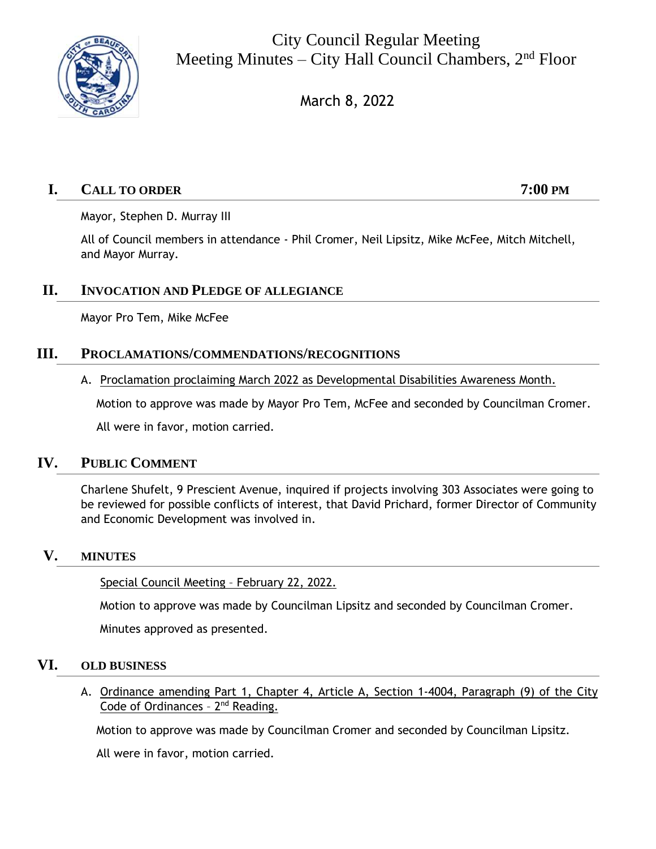

City Council Regular Meeting Meeting Minutes – City Hall Council Chambers,  $2<sup>nd</sup>$  Floor

March 8, 2022

# **I. CALL TO ORDER 7:00 PM**

Mayor, Stephen D. Murray III

All of Council members in attendance - Phil Cromer, Neil Lipsitz, Mike McFee, Mitch Mitchell, and Mayor Murray.

# **II. INVOCATION AND PLEDGE OF ALLEGIANCE**

Mayor Pro Tem, Mike McFee

## **III. PROCLAMATIONS/COMMENDATIONS/RECOGNITIONS**

A. Proclamation proclaiming March 2022 as Developmental Disabilities Awareness Month.

Motion to approve was made by Mayor Pro Tem, McFee and seconded by Councilman Cromer.

All were in favor, motion carried.

## **IV. PUBLIC COMMENT**

Charlene Shufelt, 9 Prescient Avenue, inquired if projects involving 303 Associates were going to be reviewed for possible conflicts of interest, that David Prichard, former Director of Community and Economic Development was involved in.

## **V. MINUTES**

Special Council Meeting – February 22, 2022.

Motion to approve was made by Councilman Lipsitz and seconded by Councilman Cromer.

Minutes approved as presented.

## **VI. OLD BUSINESS**

A. Ordinance amending Part 1, Chapter 4, Article A, Section 1-4004, Paragraph (9) of the City Code of Ordinances - 2<sup>nd</sup> Reading.

Motion to approve was made by Councilman Cromer and seconded by Councilman Lipsitz.

All were in favor, motion carried.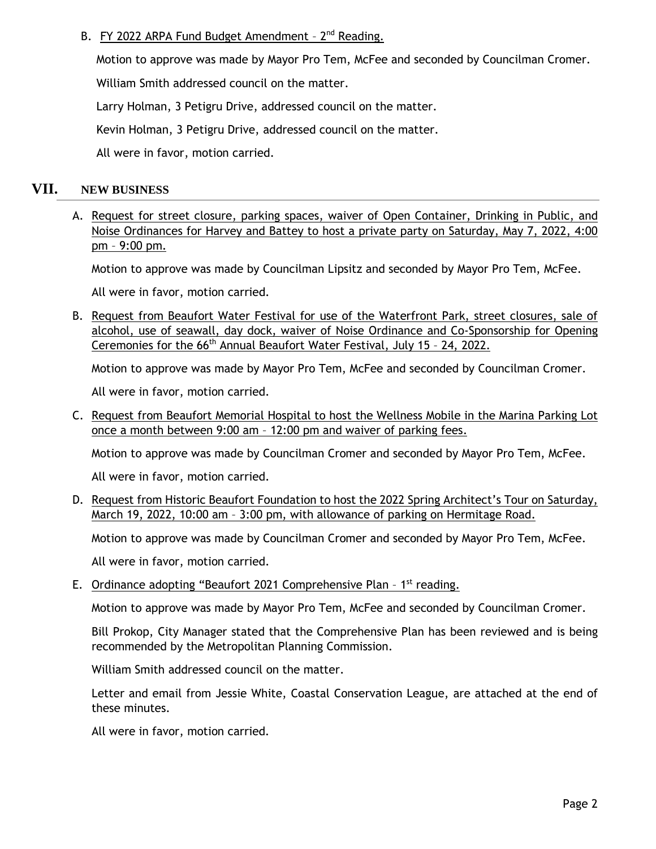## B. FY 2022 ARPA Fund Budget Amendment - 2<sup>nd</sup> Reading.

Motion to approve was made by Mayor Pro Tem, McFee and seconded by Councilman Cromer.

William Smith addressed council on the matter.

Larry Holman, 3 Petigru Drive, addressed council on the matter.

Kevin Holman, 3 Petigru Drive, addressed council on the matter.

All were in favor, motion carried.

#### **VII. NEW BUSINESS**

A. Request for street closure, parking spaces, waiver of Open Container, Drinking in Public, and Noise Ordinances for Harvey and Battey to host a private party on Saturday, May 7, 2022, 4:00 pm – 9:00 pm.

Motion to approve was made by Councilman Lipsitz and seconded by Mayor Pro Tem, McFee.

All were in favor, motion carried.

B. Request from Beaufort Water Festival for use of the Waterfront Park, street closures, sale of alcohol, use of seawall, day dock, waiver of Noise Ordinance and Co-Sponsorship for Opening Ceremonies for the 66<sup>th</sup> Annual Beaufort Water Festival, July 15 - 24, 2022.

Motion to approve was made by Mayor Pro Tem, McFee and seconded by Councilman Cromer.

All were in favor, motion carried.

C. Request from Beaufort Memorial Hospital to host the Wellness Mobile in the Marina Parking Lot once a month between 9:00 am – 12:00 pm and waiver of parking fees.

Motion to approve was made by Councilman Cromer and seconded by Mayor Pro Tem, McFee.

All were in favor, motion carried.

D. Request from Historic Beaufort Foundation to host the 2022 Spring Architect's Tour on Saturday, March 19, 2022, 10:00 am – 3:00 pm, with allowance of parking on Hermitage Road.

Motion to approve was made by Councilman Cromer and seconded by Mayor Pro Tem, McFee.

All were in favor, motion carried.

E. Ordinance adopting "Beaufort 2021 Comprehensive Plan - 1<sup>st</sup> reading.

Motion to approve was made by Mayor Pro Tem, McFee and seconded by Councilman Cromer.

Bill Prokop, City Manager stated that the Comprehensive Plan has been reviewed and is being recommended by the Metropolitan Planning Commission.

William Smith addressed council on the matter.

Letter and email from Jessie White, Coastal Conservation League, are attached at the end of these minutes.

All were in favor, motion carried.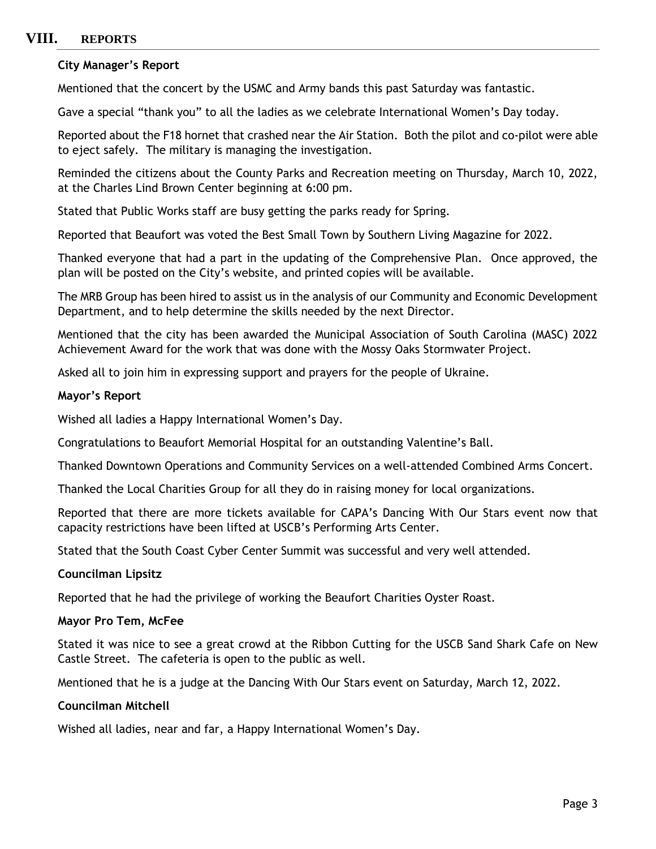# **VIII. REPORTS**

#### **City Manager's Report**

Mentioned that the concert by the USMC and Army bands this past Saturday was fantastic.

Gave a special "thank you" to all the ladies as we celebrate International Women's Day today.

Reported about the F18 hornet that crashed near the Air Station. Both the pilot and co-pilot were able to eject safely. The military is managing the investigation.

Reminded the citizens about the County Parks and Recreation meeting on Thursday, March 10, 2022, at the Charles Lind Brown Center beginning at 6:00 pm.

Stated that Public Works staff are busy getting the parks ready for Spring.

Reported that Beaufort was voted the Best Small Town by Southern Living Magazine for 2022.

Thanked everyone that had a part in the updating of the Comprehensive Plan. Once approved, the plan will be posted on the City's website, and printed copies will be available.

The MRB Group has been hired to assist us in the analysis of our Community and Economic Development Department, and to help determine the skills needed by the next Director.

Mentioned that the city has been awarded the Municipal Association of South Carolina (MASC) 2022 Achievement Award for the work that was done with the Mossy Oaks Stormwater Project.

Asked all to join him in expressing support and prayers for the people of Ukraine.

#### **Mayor's Report**

Wished all ladies a Happy International Women's Day.

Congratulations to Beaufort Memorial Hospital for an outstanding Valentine's Ball.

Thanked Downtown Operations and Community Services on a well-attended Combined Arms Concert.

Thanked the Local Charities Group for all they do in raising money for local organizations.

Reported that there are more tickets available for CAPA's Dancing With Our Stars event now that capacity restrictions have been lifted at USCB's Performing Arts Center.

Stated that the South Coast Cyber Center Summit was successful and very well attended.

#### **Councilman Lipsitz**

Reported that he had the privilege of working the Beaufort Charities Oyster Roast.

#### **Mayor Pro Tem, McFee**

Stated it was nice to see a great crowd at the Ribbon Cutting for the USCB Sand Shark Cafe on New Castle Street. The cafeteria is open to the public as well.

Mentioned that he is a judge at the Dancing With Our Stars event on Saturday, March 12, 2022.

#### **Councilman Mitchell**

Wished all ladies, near and far, a Happy International Women's Day.